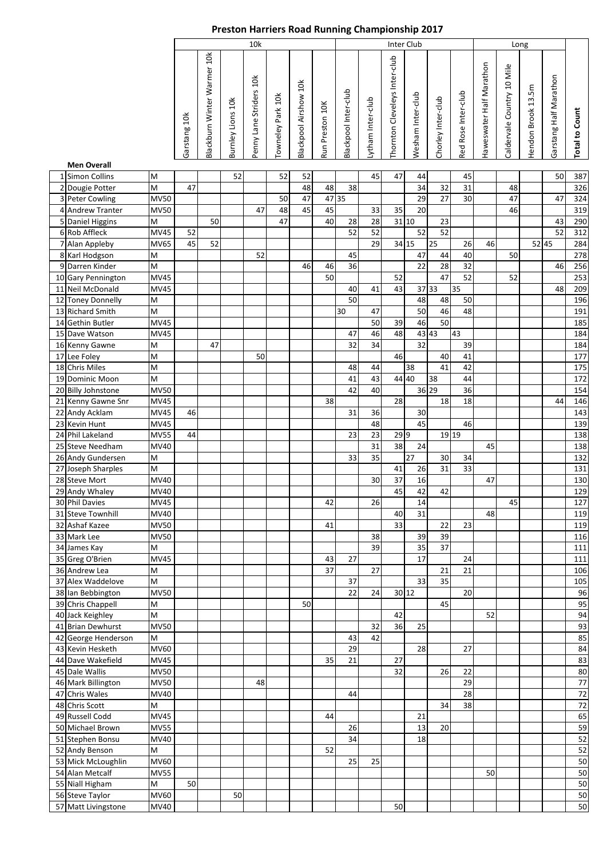| Blackburn Winter Warmer 10k<br>Thornton Cleveleys Inter-club<br>Haweswater Half Marathon<br>Caldervale Country 10 Mile<br>Garstang Half Marathon<br>Penny Lane Striders 10k<br>Blackpool Airshow 10k<br>Hendon Brook 13.5m<br>Blackpool Inter-club<br>Red Rose Inter-club<br>Wesham Inter-club<br>Towneley Park 10k<br>Chorley Inter-club<br>Lytham Inter-club<br>Burnley Lions 10k<br>Run Preston 10K<br><b>Total to Count</b><br>Garstang 10k<br><b>Men Overall</b><br>47<br>1 Simon Collins<br>52<br>52<br>45<br>45<br>50<br>M<br>52<br>44<br>M<br>47<br>2 Dougie Potter<br>48<br>48<br>38<br>34<br>32<br>31<br>48<br>3 Peter Cowling<br><b>MV50</b><br>47 35<br>27<br>30<br>47<br>47<br>50<br>47<br>29<br>45<br>35<br>319<br>4 Andrew Tranter<br><b>MV50</b><br>48<br>45<br>33<br>20<br>46<br>47<br>5 Daniel Higgins<br>47<br>40<br>28<br>31 10<br>M<br>50<br>23<br>43<br>28<br>52<br>52<br>52<br>6 Rob Affleck<br>52<br>52<br>52<br>MV45<br>312<br>7 Alan Appleby<br>34 15<br>45<br>29<br>25<br>46<br>52 45<br><b>MV65</b><br>52<br>26<br>284<br>40<br>M<br>52<br>47<br>44<br>50<br>278<br>8 Karl Hodgson<br>45<br>9 Darren Kinder<br>M<br>22<br>28<br>32<br>46<br>46<br>46<br>36<br>256<br><b>MV45</b><br>50<br>47<br>52<br>253<br>52<br>52<br>37 33<br>35<br><b>MV45</b><br>40<br>41<br>43<br>48<br>209<br>48<br>50<br>196<br>M<br>48<br>50<br>50<br>M<br>47<br>46<br>48<br>30<br>191<br><b>MV45</b><br>50<br>39<br>50<br>46<br>46<br>43<br><b>MV45</b><br>48<br>43 43<br>47<br>32<br>M<br>34<br>47<br>32<br>39<br>46<br>M<br>50<br>40<br>41<br>$\mathsf{M}% _{T}=\mathsf{M}_{T}\!\left( a,b\right) ,\ \mathsf{M}_{T}=\mathsf{M}_{T}$<br>38<br>41<br>42<br>48<br>44<br>M<br>44 40<br>44<br>41<br>43<br>38<br>36 29<br><b>MV50</b><br>40<br>36<br>42<br>38<br>28<br>18<br><b>MV45</b><br>18<br>44<br><b>MV45</b><br>46<br>31<br>30<br>36<br><b>MV45</b><br>48<br>45<br>46<br>139<br>23<br>299<br>19 19<br>138<br><b>MV55</b><br>44<br>23<br>31<br>38<br><b>MV40</b><br>24<br>138<br>45<br>$\overline{35}$<br>27<br>33<br>30<br>34<br>132<br>M<br>$\mathsf{M}% _{T}=\mathsf{M}_{T}\!\left( a,b\right) ,\ \mathsf{M}_{T}=\mathsf{M}_{T}$<br>33<br>31<br>41<br>26<br>131<br>37<br><b>MV40</b><br>30<br>47<br>130<br>16<br>45<br>42<br><b>MV40</b><br>42<br>26<br>MV45<br>42<br>14<br>45<br>MV40<br>40<br>31<br>48<br>33<br><b>MV50</b><br>22<br>23<br>41<br><b>MV50</b><br>38<br>39<br>39<br>39<br>37<br>M<br>35<br><b>MV45</b><br>17<br>43<br>27<br>24<br>37<br>M<br>27<br>21<br>21<br>35<br>M<br>33<br>37<br><b>MV50</b><br>20<br>22<br>24<br>30 12<br>45<br>95<br>M<br>50<br>M<br>52<br>94<br>42<br><b>MV50</b><br>36<br>32<br>25<br>42<br>M<br>43<br>MV60<br>29<br>28<br>27<br><b>MV45</b><br>35<br>27<br>21<br><b>MV50</b><br>32<br>26<br>22<br><b>MV50</b><br>29<br>48<br>MV40<br>28<br>44<br>M<br>38<br>34<br>MV45<br>44<br>21<br><b>MV55</b><br>26<br>13<br>20<br>34<br><b>MV40</b><br>18<br>M<br>52<br>MV60<br>25<br>25<br>50<br><b>MV55</b><br>50<br>50<br>M<br>50<br>MV60<br>50<br>50 |  |      | 10k |  |  |  |  |  |  |  |  | <b>Inter Club</b> |  |  |  |  |        |
|-----------------------------------------------------------------------------------------------------------------------------------------------------------------------------------------------------------------------------------------------------------------------------------------------------------------------------------------------------------------------------------------------------------------------------------------------------------------------------------------------------------------------------------------------------------------------------------------------------------------------------------------------------------------------------------------------------------------------------------------------------------------------------------------------------------------------------------------------------------------------------------------------------------------------------------------------------------------------------------------------------------------------------------------------------------------------------------------------------------------------------------------------------------------------------------------------------------------------------------------------------------------------------------------------------------------------------------------------------------------------------------------------------------------------------------------------------------------------------------------------------------------------------------------------------------------------------------------------------------------------------------------------------------------------------------------------------------------------------------------------------------------------------------------------------------------------------------------------------------------------------------------------------------------------------------------------------------------------------------------------------------------------------------------------------------------------------------------------------------------------------------------------------------------------------------------------------------------------------------------------------------------------------------------------------------------------------------------------------------------------------------------------------------------------------------------------------------------------------------------------------------------------------------------------------------------------------------------------------------------------------------------------------------------------------------------------------------------------------------------------------------------------------------------------------------------------------------------------------------------------------------------------------------------------------------------------------------------------------------------------------|--|------|-----|--|--|--|--|--|--|--|--|-------------------|--|--|--|--|--------|
| 10 Gary Pennington<br>11 Neil McDonald<br>12 Toney Donnelly<br>13 Richard Smith<br>14 Gethin Butler<br>15 Dave Watson<br>16 Kenny Gawne<br>17 Lee Foley<br>18 Chris Miles<br>19 Dominic Moon<br>20 Billy Johnstone<br>21 Kenny Gawne Snr<br>22 Andy Acklam<br>23 Kevin Hunt<br>24 Phil Lakeland<br>25 Steve Needham<br>26 Andy Gundersen<br>27 Joseph Sharples<br>28 Steve Mort<br>29 Andy Whaley<br>30 Phil Davies<br>31 Steve Townhill<br>32 Ashaf Kazee<br>33 Mark Lee<br>34 James Kay<br>35 Greg O'Brien<br>36 Andrew Lea<br>37 Alex Waddelove<br>38 Ian Bebbington<br>39 Chris Chappell<br>40 Jack Keighley<br>41 Brian Dewhurst<br>42 George Henderson<br>43 Kevin Hesketh<br>44 Dave Wakefield<br>45 Dale Wallis<br>46 Mark Billington<br>47 Chris Wales<br>48 Chris Scott<br>49 Russell Codd<br>50 Michael Brown<br>51 Stephen Bonsu<br>52 Andy Benson<br>53 Mick McLoughlin<br>54 Alan Metcalf<br>55 Niall Higham<br>56 Steve Taylor<br>57 Matt Livingstone                                                                                                                                                                                                                                                                                                                                                                                                                                                                                                                                                                                                                                                                                                                                                                                                                                                                                                                                                                                                                                                                                                                                                                                                                                                                                                                                                                                                                                                                                                                                                                                                                                                                                                                                                                                                                                                                                                                                                                                                                                |  |      |     |  |  |  |  |  |  |  |  |                   |  |  |  |  |        |
|                                                                                                                                                                                                                                                                                                                                                                                                                                                                                                                                                                                                                                                                                                                                                                                                                                                                                                                                                                                                                                                                                                                                                                                                                                                                                                                                                                                                                                                                                                                                                                                                                                                                                                                                                                                                                                                                                                                                                                                                                                                                                                                                                                                                                                                                                                                                                                                                                                                                                                                                                                                                                                                                                                                                                                                                                                                                                                                                                                                                     |  |      |     |  |  |  |  |  |  |  |  |                   |  |  |  |  |        |
|                                                                                                                                                                                                                                                                                                                                                                                                                                                                                                                                                                                                                                                                                                                                                                                                                                                                                                                                                                                                                                                                                                                                                                                                                                                                                                                                                                                                                                                                                                                                                                                                                                                                                                                                                                                                                                                                                                                                                                                                                                                                                                                                                                                                                                                                                                                                                                                                                                                                                                                                                                                                                                                                                                                                                                                                                                                                                                                                                                                                     |  |      |     |  |  |  |  |  |  |  |  |                   |  |  |  |  | 387    |
|                                                                                                                                                                                                                                                                                                                                                                                                                                                                                                                                                                                                                                                                                                                                                                                                                                                                                                                                                                                                                                                                                                                                                                                                                                                                                                                                                                                                                                                                                                                                                                                                                                                                                                                                                                                                                                                                                                                                                                                                                                                                                                                                                                                                                                                                                                                                                                                                                                                                                                                                                                                                                                                                                                                                                                                                                                                                                                                                                                                                     |  |      |     |  |  |  |  |  |  |  |  |                   |  |  |  |  | 326    |
|                                                                                                                                                                                                                                                                                                                                                                                                                                                                                                                                                                                                                                                                                                                                                                                                                                                                                                                                                                                                                                                                                                                                                                                                                                                                                                                                                                                                                                                                                                                                                                                                                                                                                                                                                                                                                                                                                                                                                                                                                                                                                                                                                                                                                                                                                                                                                                                                                                                                                                                                                                                                                                                                                                                                                                                                                                                                                                                                                                                                     |  |      |     |  |  |  |  |  |  |  |  |                   |  |  |  |  | 324    |
|                                                                                                                                                                                                                                                                                                                                                                                                                                                                                                                                                                                                                                                                                                                                                                                                                                                                                                                                                                                                                                                                                                                                                                                                                                                                                                                                                                                                                                                                                                                                                                                                                                                                                                                                                                                                                                                                                                                                                                                                                                                                                                                                                                                                                                                                                                                                                                                                                                                                                                                                                                                                                                                                                                                                                                                                                                                                                                                                                                                                     |  |      |     |  |  |  |  |  |  |  |  |                   |  |  |  |  |        |
|                                                                                                                                                                                                                                                                                                                                                                                                                                                                                                                                                                                                                                                                                                                                                                                                                                                                                                                                                                                                                                                                                                                                                                                                                                                                                                                                                                                                                                                                                                                                                                                                                                                                                                                                                                                                                                                                                                                                                                                                                                                                                                                                                                                                                                                                                                                                                                                                                                                                                                                                                                                                                                                                                                                                                                                                                                                                                                                                                                                                     |  |      |     |  |  |  |  |  |  |  |  |                   |  |  |  |  | 290    |
|                                                                                                                                                                                                                                                                                                                                                                                                                                                                                                                                                                                                                                                                                                                                                                                                                                                                                                                                                                                                                                                                                                                                                                                                                                                                                                                                                                                                                                                                                                                                                                                                                                                                                                                                                                                                                                                                                                                                                                                                                                                                                                                                                                                                                                                                                                                                                                                                                                                                                                                                                                                                                                                                                                                                                                                                                                                                                                                                                                                                     |  |      |     |  |  |  |  |  |  |  |  |                   |  |  |  |  |        |
|                                                                                                                                                                                                                                                                                                                                                                                                                                                                                                                                                                                                                                                                                                                                                                                                                                                                                                                                                                                                                                                                                                                                                                                                                                                                                                                                                                                                                                                                                                                                                                                                                                                                                                                                                                                                                                                                                                                                                                                                                                                                                                                                                                                                                                                                                                                                                                                                                                                                                                                                                                                                                                                                                                                                                                                                                                                                                                                                                                                                     |  |      |     |  |  |  |  |  |  |  |  |                   |  |  |  |  |        |
|                                                                                                                                                                                                                                                                                                                                                                                                                                                                                                                                                                                                                                                                                                                                                                                                                                                                                                                                                                                                                                                                                                                                                                                                                                                                                                                                                                                                                                                                                                                                                                                                                                                                                                                                                                                                                                                                                                                                                                                                                                                                                                                                                                                                                                                                                                                                                                                                                                                                                                                                                                                                                                                                                                                                                                                                                                                                                                                                                                                                     |  |      |     |  |  |  |  |  |  |  |  |                   |  |  |  |  |        |
|                                                                                                                                                                                                                                                                                                                                                                                                                                                                                                                                                                                                                                                                                                                                                                                                                                                                                                                                                                                                                                                                                                                                                                                                                                                                                                                                                                                                                                                                                                                                                                                                                                                                                                                                                                                                                                                                                                                                                                                                                                                                                                                                                                                                                                                                                                                                                                                                                                                                                                                                                                                                                                                                                                                                                                                                                                                                                                                                                                                                     |  |      |     |  |  |  |  |  |  |  |  |                   |  |  |  |  |        |
|                                                                                                                                                                                                                                                                                                                                                                                                                                                                                                                                                                                                                                                                                                                                                                                                                                                                                                                                                                                                                                                                                                                                                                                                                                                                                                                                                                                                                                                                                                                                                                                                                                                                                                                                                                                                                                                                                                                                                                                                                                                                                                                                                                                                                                                                                                                                                                                                                                                                                                                                                                                                                                                                                                                                                                                                                                                                                                                                                                                                     |  |      |     |  |  |  |  |  |  |  |  |                   |  |  |  |  |        |
|                                                                                                                                                                                                                                                                                                                                                                                                                                                                                                                                                                                                                                                                                                                                                                                                                                                                                                                                                                                                                                                                                                                                                                                                                                                                                                                                                                                                                                                                                                                                                                                                                                                                                                                                                                                                                                                                                                                                                                                                                                                                                                                                                                                                                                                                                                                                                                                                                                                                                                                                                                                                                                                                                                                                                                                                                                                                                                                                                                                                     |  |      |     |  |  |  |  |  |  |  |  |                   |  |  |  |  |        |
|                                                                                                                                                                                                                                                                                                                                                                                                                                                                                                                                                                                                                                                                                                                                                                                                                                                                                                                                                                                                                                                                                                                                                                                                                                                                                                                                                                                                                                                                                                                                                                                                                                                                                                                                                                                                                                                                                                                                                                                                                                                                                                                                                                                                                                                                                                                                                                                                                                                                                                                                                                                                                                                                                                                                                                                                                                                                                                                                                                                                     |  |      |     |  |  |  |  |  |  |  |  |                   |  |  |  |  |        |
|                                                                                                                                                                                                                                                                                                                                                                                                                                                                                                                                                                                                                                                                                                                                                                                                                                                                                                                                                                                                                                                                                                                                                                                                                                                                                                                                                                                                                                                                                                                                                                                                                                                                                                                                                                                                                                                                                                                                                                                                                                                                                                                                                                                                                                                                                                                                                                                                                                                                                                                                                                                                                                                                                                                                                                                                                                                                                                                                                                                                     |  |      |     |  |  |  |  |  |  |  |  |                   |  |  |  |  | 185    |
|                                                                                                                                                                                                                                                                                                                                                                                                                                                                                                                                                                                                                                                                                                                                                                                                                                                                                                                                                                                                                                                                                                                                                                                                                                                                                                                                                                                                                                                                                                                                                                                                                                                                                                                                                                                                                                                                                                                                                                                                                                                                                                                                                                                                                                                                                                                                                                                                                                                                                                                                                                                                                                                                                                                                                                                                                                                                                                                                                                                                     |  |      |     |  |  |  |  |  |  |  |  |                   |  |  |  |  | 184    |
|                                                                                                                                                                                                                                                                                                                                                                                                                                                                                                                                                                                                                                                                                                                                                                                                                                                                                                                                                                                                                                                                                                                                                                                                                                                                                                                                                                                                                                                                                                                                                                                                                                                                                                                                                                                                                                                                                                                                                                                                                                                                                                                                                                                                                                                                                                                                                                                                                                                                                                                                                                                                                                                                                                                                                                                                                                                                                                                                                                                                     |  |      |     |  |  |  |  |  |  |  |  |                   |  |  |  |  | 184    |
|                                                                                                                                                                                                                                                                                                                                                                                                                                                                                                                                                                                                                                                                                                                                                                                                                                                                                                                                                                                                                                                                                                                                                                                                                                                                                                                                                                                                                                                                                                                                                                                                                                                                                                                                                                                                                                                                                                                                                                                                                                                                                                                                                                                                                                                                                                                                                                                                                                                                                                                                                                                                                                                                                                                                                                                                                                                                                                                                                                                                     |  |      |     |  |  |  |  |  |  |  |  |                   |  |  |  |  | 177    |
|                                                                                                                                                                                                                                                                                                                                                                                                                                                                                                                                                                                                                                                                                                                                                                                                                                                                                                                                                                                                                                                                                                                                                                                                                                                                                                                                                                                                                                                                                                                                                                                                                                                                                                                                                                                                                                                                                                                                                                                                                                                                                                                                                                                                                                                                                                                                                                                                                                                                                                                                                                                                                                                                                                                                                                                                                                                                                                                                                                                                     |  |      |     |  |  |  |  |  |  |  |  |                   |  |  |  |  | 175    |
|                                                                                                                                                                                                                                                                                                                                                                                                                                                                                                                                                                                                                                                                                                                                                                                                                                                                                                                                                                                                                                                                                                                                                                                                                                                                                                                                                                                                                                                                                                                                                                                                                                                                                                                                                                                                                                                                                                                                                                                                                                                                                                                                                                                                                                                                                                                                                                                                                                                                                                                                                                                                                                                                                                                                                                                                                                                                                                                                                                                                     |  |      |     |  |  |  |  |  |  |  |  |                   |  |  |  |  | 172    |
|                                                                                                                                                                                                                                                                                                                                                                                                                                                                                                                                                                                                                                                                                                                                                                                                                                                                                                                                                                                                                                                                                                                                                                                                                                                                                                                                                                                                                                                                                                                                                                                                                                                                                                                                                                                                                                                                                                                                                                                                                                                                                                                                                                                                                                                                                                                                                                                                                                                                                                                                                                                                                                                                                                                                                                                                                                                                                                                                                                                                     |  |      |     |  |  |  |  |  |  |  |  |                   |  |  |  |  | 154    |
|                                                                                                                                                                                                                                                                                                                                                                                                                                                                                                                                                                                                                                                                                                                                                                                                                                                                                                                                                                                                                                                                                                                                                                                                                                                                                                                                                                                                                                                                                                                                                                                                                                                                                                                                                                                                                                                                                                                                                                                                                                                                                                                                                                                                                                                                                                                                                                                                                                                                                                                                                                                                                                                                                                                                                                                                                                                                                                                                                                                                     |  |      |     |  |  |  |  |  |  |  |  |                   |  |  |  |  | 146    |
|                                                                                                                                                                                                                                                                                                                                                                                                                                                                                                                                                                                                                                                                                                                                                                                                                                                                                                                                                                                                                                                                                                                                                                                                                                                                                                                                                                                                                                                                                                                                                                                                                                                                                                                                                                                                                                                                                                                                                                                                                                                                                                                                                                                                                                                                                                                                                                                                                                                                                                                                                                                                                                                                                                                                                                                                                                                                                                                                                                                                     |  |      |     |  |  |  |  |  |  |  |  |                   |  |  |  |  | 143    |
|                                                                                                                                                                                                                                                                                                                                                                                                                                                                                                                                                                                                                                                                                                                                                                                                                                                                                                                                                                                                                                                                                                                                                                                                                                                                                                                                                                                                                                                                                                                                                                                                                                                                                                                                                                                                                                                                                                                                                                                                                                                                                                                                                                                                                                                                                                                                                                                                                                                                                                                                                                                                                                                                                                                                                                                                                                                                                                                                                                                                     |  |      |     |  |  |  |  |  |  |  |  |                   |  |  |  |  |        |
|                                                                                                                                                                                                                                                                                                                                                                                                                                                                                                                                                                                                                                                                                                                                                                                                                                                                                                                                                                                                                                                                                                                                                                                                                                                                                                                                                                                                                                                                                                                                                                                                                                                                                                                                                                                                                                                                                                                                                                                                                                                                                                                                                                                                                                                                                                                                                                                                                                                                                                                                                                                                                                                                                                                                                                                                                                                                                                                                                                                                     |  |      |     |  |  |  |  |  |  |  |  |                   |  |  |  |  |        |
|                                                                                                                                                                                                                                                                                                                                                                                                                                                                                                                                                                                                                                                                                                                                                                                                                                                                                                                                                                                                                                                                                                                                                                                                                                                                                                                                                                                                                                                                                                                                                                                                                                                                                                                                                                                                                                                                                                                                                                                                                                                                                                                                                                                                                                                                                                                                                                                                                                                                                                                                                                                                                                                                                                                                                                                                                                                                                                                                                                                                     |  |      |     |  |  |  |  |  |  |  |  |                   |  |  |  |  |        |
|                                                                                                                                                                                                                                                                                                                                                                                                                                                                                                                                                                                                                                                                                                                                                                                                                                                                                                                                                                                                                                                                                                                                                                                                                                                                                                                                                                                                                                                                                                                                                                                                                                                                                                                                                                                                                                                                                                                                                                                                                                                                                                                                                                                                                                                                                                                                                                                                                                                                                                                                                                                                                                                                                                                                                                                                                                                                                                                                                                                                     |  |      |     |  |  |  |  |  |  |  |  |                   |  |  |  |  |        |
|                                                                                                                                                                                                                                                                                                                                                                                                                                                                                                                                                                                                                                                                                                                                                                                                                                                                                                                                                                                                                                                                                                                                                                                                                                                                                                                                                                                                                                                                                                                                                                                                                                                                                                                                                                                                                                                                                                                                                                                                                                                                                                                                                                                                                                                                                                                                                                                                                                                                                                                                                                                                                                                                                                                                                                                                                                                                                                                                                                                                     |  |      |     |  |  |  |  |  |  |  |  |                   |  |  |  |  |        |
|                                                                                                                                                                                                                                                                                                                                                                                                                                                                                                                                                                                                                                                                                                                                                                                                                                                                                                                                                                                                                                                                                                                                                                                                                                                                                                                                                                                                                                                                                                                                                                                                                                                                                                                                                                                                                                                                                                                                                                                                                                                                                                                                                                                                                                                                                                                                                                                                                                                                                                                                                                                                                                                                                                                                                                                                                                                                                                                                                                                                     |  |      |     |  |  |  |  |  |  |  |  |                   |  |  |  |  | 129    |
|                                                                                                                                                                                                                                                                                                                                                                                                                                                                                                                                                                                                                                                                                                                                                                                                                                                                                                                                                                                                                                                                                                                                                                                                                                                                                                                                                                                                                                                                                                                                                                                                                                                                                                                                                                                                                                                                                                                                                                                                                                                                                                                                                                                                                                                                                                                                                                                                                                                                                                                                                                                                                                                                                                                                                                                                                                                                                                                                                                                                     |  |      |     |  |  |  |  |  |  |  |  |                   |  |  |  |  | 127    |
|                                                                                                                                                                                                                                                                                                                                                                                                                                                                                                                                                                                                                                                                                                                                                                                                                                                                                                                                                                                                                                                                                                                                                                                                                                                                                                                                                                                                                                                                                                                                                                                                                                                                                                                                                                                                                                                                                                                                                                                                                                                                                                                                                                                                                                                                                                                                                                                                                                                                                                                                                                                                                                                                                                                                                                                                                                                                                                                                                                                                     |  |      |     |  |  |  |  |  |  |  |  |                   |  |  |  |  | 119    |
|                                                                                                                                                                                                                                                                                                                                                                                                                                                                                                                                                                                                                                                                                                                                                                                                                                                                                                                                                                                                                                                                                                                                                                                                                                                                                                                                                                                                                                                                                                                                                                                                                                                                                                                                                                                                                                                                                                                                                                                                                                                                                                                                                                                                                                                                                                                                                                                                                                                                                                                                                                                                                                                                                                                                                                                                                                                                                                                                                                                                     |  |      |     |  |  |  |  |  |  |  |  |                   |  |  |  |  | 119    |
|                                                                                                                                                                                                                                                                                                                                                                                                                                                                                                                                                                                                                                                                                                                                                                                                                                                                                                                                                                                                                                                                                                                                                                                                                                                                                                                                                                                                                                                                                                                                                                                                                                                                                                                                                                                                                                                                                                                                                                                                                                                                                                                                                                                                                                                                                                                                                                                                                                                                                                                                                                                                                                                                                                                                                                                                                                                                                                                                                                                                     |  |      |     |  |  |  |  |  |  |  |  |                   |  |  |  |  | 116    |
|                                                                                                                                                                                                                                                                                                                                                                                                                                                                                                                                                                                                                                                                                                                                                                                                                                                                                                                                                                                                                                                                                                                                                                                                                                                                                                                                                                                                                                                                                                                                                                                                                                                                                                                                                                                                                                                                                                                                                                                                                                                                                                                                                                                                                                                                                                                                                                                                                                                                                                                                                                                                                                                                                                                                                                                                                                                                                                                                                                                                     |  |      |     |  |  |  |  |  |  |  |  |                   |  |  |  |  | 111    |
|                                                                                                                                                                                                                                                                                                                                                                                                                                                                                                                                                                                                                                                                                                                                                                                                                                                                                                                                                                                                                                                                                                                                                                                                                                                                                                                                                                                                                                                                                                                                                                                                                                                                                                                                                                                                                                                                                                                                                                                                                                                                                                                                                                                                                                                                                                                                                                                                                                                                                                                                                                                                                                                                                                                                                                                                                                                                                                                                                                                                     |  |      |     |  |  |  |  |  |  |  |  |                   |  |  |  |  | 111    |
|                                                                                                                                                                                                                                                                                                                                                                                                                                                                                                                                                                                                                                                                                                                                                                                                                                                                                                                                                                                                                                                                                                                                                                                                                                                                                                                                                                                                                                                                                                                                                                                                                                                                                                                                                                                                                                                                                                                                                                                                                                                                                                                                                                                                                                                                                                                                                                                                                                                                                                                                                                                                                                                                                                                                                                                                                                                                                                                                                                                                     |  |      |     |  |  |  |  |  |  |  |  |                   |  |  |  |  | 106    |
|                                                                                                                                                                                                                                                                                                                                                                                                                                                                                                                                                                                                                                                                                                                                                                                                                                                                                                                                                                                                                                                                                                                                                                                                                                                                                                                                                                                                                                                                                                                                                                                                                                                                                                                                                                                                                                                                                                                                                                                                                                                                                                                                                                                                                                                                                                                                                                                                                                                                                                                                                                                                                                                                                                                                                                                                                                                                                                                                                                                                     |  |      |     |  |  |  |  |  |  |  |  |                   |  |  |  |  | 105    |
|                                                                                                                                                                                                                                                                                                                                                                                                                                                                                                                                                                                                                                                                                                                                                                                                                                                                                                                                                                                                                                                                                                                                                                                                                                                                                                                                                                                                                                                                                                                                                                                                                                                                                                                                                                                                                                                                                                                                                                                                                                                                                                                                                                                                                                                                                                                                                                                                                                                                                                                                                                                                                                                                                                                                                                                                                                                                                                                                                                                                     |  |      |     |  |  |  |  |  |  |  |  |                   |  |  |  |  | 96     |
|                                                                                                                                                                                                                                                                                                                                                                                                                                                                                                                                                                                                                                                                                                                                                                                                                                                                                                                                                                                                                                                                                                                                                                                                                                                                                                                                                                                                                                                                                                                                                                                                                                                                                                                                                                                                                                                                                                                                                                                                                                                                                                                                                                                                                                                                                                                                                                                                                                                                                                                                                                                                                                                                                                                                                                                                                                                                                                                                                                                                     |  |      |     |  |  |  |  |  |  |  |  |                   |  |  |  |  |        |
|                                                                                                                                                                                                                                                                                                                                                                                                                                                                                                                                                                                                                                                                                                                                                                                                                                                                                                                                                                                                                                                                                                                                                                                                                                                                                                                                                                                                                                                                                                                                                                                                                                                                                                                                                                                                                                                                                                                                                                                                                                                                                                                                                                                                                                                                                                                                                                                                                                                                                                                                                                                                                                                                                                                                                                                                                                                                                                                                                                                                     |  |      |     |  |  |  |  |  |  |  |  |                   |  |  |  |  | 93     |
|                                                                                                                                                                                                                                                                                                                                                                                                                                                                                                                                                                                                                                                                                                                                                                                                                                                                                                                                                                                                                                                                                                                                                                                                                                                                                                                                                                                                                                                                                                                                                                                                                                                                                                                                                                                                                                                                                                                                                                                                                                                                                                                                                                                                                                                                                                                                                                                                                                                                                                                                                                                                                                                                                                                                                                                                                                                                                                                                                                                                     |  |      |     |  |  |  |  |  |  |  |  |                   |  |  |  |  | 85     |
|                                                                                                                                                                                                                                                                                                                                                                                                                                                                                                                                                                                                                                                                                                                                                                                                                                                                                                                                                                                                                                                                                                                                                                                                                                                                                                                                                                                                                                                                                                                                                                                                                                                                                                                                                                                                                                                                                                                                                                                                                                                                                                                                                                                                                                                                                                                                                                                                                                                                                                                                                                                                                                                                                                                                                                                                                                                                                                                                                                                                     |  |      |     |  |  |  |  |  |  |  |  |                   |  |  |  |  | 84     |
|                                                                                                                                                                                                                                                                                                                                                                                                                                                                                                                                                                                                                                                                                                                                                                                                                                                                                                                                                                                                                                                                                                                                                                                                                                                                                                                                                                                                                                                                                                                                                                                                                                                                                                                                                                                                                                                                                                                                                                                                                                                                                                                                                                                                                                                                                                                                                                                                                                                                                                                                                                                                                                                                                                                                                                                                                                                                                                                                                                                                     |  |      |     |  |  |  |  |  |  |  |  |                   |  |  |  |  | 83     |
|                                                                                                                                                                                                                                                                                                                                                                                                                                                                                                                                                                                                                                                                                                                                                                                                                                                                                                                                                                                                                                                                                                                                                                                                                                                                                                                                                                                                                                                                                                                                                                                                                                                                                                                                                                                                                                                                                                                                                                                                                                                                                                                                                                                                                                                                                                                                                                                                                                                                                                                                                                                                                                                                                                                                                                                                                                                                                                                                                                                                     |  |      |     |  |  |  |  |  |  |  |  |                   |  |  |  |  | 80     |
|                                                                                                                                                                                                                                                                                                                                                                                                                                                                                                                                                                                                                                                                                                                                                                                                                                                                                                                                                                                                                                                                                                                                                                                                                                                                                                                                                                                                                                                                                                                                                                                                                                                                                                                                                                                                                                                                                                                                                                                                                                                                                                                                                                                                                                                                                                                                                                                                                                                                                                                                                                                                                                                                                                                                                                                                                                                                                                                                                                                                     |  |      |     |  |  |  |  |  |  |  |  |                   |  |  |  |  | 77     |
|                                                                                                                                                                                                                                                                                                                                                                                                                                                                                                                                                                                                                                                                                                                                                                                                                                                                                                                                                                                                                                                                                                                                                                                                                                                                                                                                                                                                                                                                                                                                                                                                                                                                                                                                                                                                                                                                                                                                                                                                                                                                                                                                                                                                                                                                                                                                                                                                                                                                                                                                                                                                                                                                                                                                                                                                                                                                                                                                                                                                     |  |      |     |  |  |  |  |  |  |  |  |                   |  |  |  |  | $72\,$ |
|                                                                                                                                                                                                                                                                                                                                                                                                                                                                                                                                                                                                                                                                                                                                                                                                                                                                                                                                                                                                                                                                                                                                                                                                                                                                                                                                                                                                                                                                                                                                                                                                                                                                                                                                                                                                                                                                                                                                                                                                                                                                                                                                                                                                                                                                                                                                                                                                                                                                                                                                                                                                                                                                                                                                                                                                                                                                                                                                                                                                     |  |      |     |  |  |  |  |  |  |  |  |                   |  |  |  |  | $72\,$ |
|                                                                                                                                                                                                                                                                                                                                                                                                                                                                                                                                                                                                                                                                                                                                                                                                                                                                                                                                                                                                                                                                                                                                                                                                                                                                                                                                                                                                                                                                                                                                                                                                                                                                                                                                                                                                                                                                                                                                                                                                                                                                                                                                                                                                                                                                                                                                                                                                                                                                                                                                                                                                                                                                                                                                                                                                                                                                                                                                                                                                     |  |      |     |  |  |  |  |  |  |  |  |                   |  |  |  |  | 65     |
|                                                                                                                                                                                                                                                                                                                                                                                                                                                                                                                                                                                                                                                                                                                                                                                                                                                                                                                                                                                                                                                                                                                                                                                                                                                                                                                                                                                                                                                                                                                                                                                                                                                                                                                                                                                                                                                                                                                                                                                                                                                                                                                                                                                                                                                                                                                                                                                                                                                                                                                                                                                                                                                                                                                                                                                                                                                                                                                                                                                                     |  |      |     |  |  |  |  |  |  |  |  |                   |  |  |  |  | 59     |
|                                                                                                                                                                                                                                                                                                                                                                                                                                                                                                                                                                                                                                                                                                                                                                                                                                                                                                                                                                                                                                                                                                                                                                                                                                                                                                                                                                                                                                                                                                                                                                                                                                                                                                                                                                                                                                                                                                                                                                                                                                                                                                                                                                                                                                                                                                                                                                                                                                                                                                                                                                                                                                                                                                                                                                                                                                                                                                                                                                                                     |  |      |     |  |  |  |  |  |  |  |  |                   |  |  |  |  | 52     |
|                                                                                                                                                                                                                                                                                                                                                                                                                                                                                                                                                                                                                                                                                                                                                                                                                                                                                                                                                                                                                                                                                                                                                                                                                                                                                                                                                                                                                                                                                                                                                                                                                                                                                                                                                                                                                                                                                                                                                                                                                                                                                                                                                                                                                                                                                                                                                                                                                                                                                                                                                                                                                                                                                                                                                                                                                                                                                                                                                                                                     |  |      |     |  |  |  |  |  |  |  |  |                   |  |  |  |  | 52     |
|                                                                                                                                                                                                                                                                                                                                                                                                                                                                                                                                                                                                                                                                                                                                                                                                                                                                                                                                                                                                                                                                                                                                                                                                                                                                                                                                                                                                                                                                                                                                                                                                                                                                                                                                                                                                                                                                                                                                                                                                                                                                                                                                                                                                                                                                                                                                                                                                                                                                                                                                                                                                                                                                                                                                                                                                                                                                                                                                                                                                     |  |      |     |  |  |  |  |  |  |  |  |                   |  |  |  |  |        |
|                                                                                                                                                                                                                                                                                                                                                                                                                                                                                                                                                                                                                                                                                                                                                                                                                                                                                                                                                                                                                                                                                                                                                                                                                                                                                                                                                                                                                                                                                                                                                                                                                                                                                                                                                                                                                                                                                                                                                                                                                                                                                                                                                                                                                                                                                                                                                                                                                                                                                                                                                                                                                                                                                                                                                                                                                                                                                                                                                                                                     |  |      |     |  |  |  |  |  |  |  |  |                   |  |  |  |  | 50     |
|                                                                                                                                                                                                                                                                                                                                                                                                                                                                                                                                                                                                                                                                                                                                                                                                                                                                                                                                                                                                                                                                                                                                                                                                                                                                                                                                                                                                                                                                                                                                                                                                                                                                                                                                                                                                                                                                                                                                                                                                                                                                                                                                                                                                                                                                                                                                                                                                                                                                                                                                                                                                                                                                                                                                                                                                                                                                                                                                                                                                     |  |      |     |  |  |  |  |  |  |  |  |                   |  |  |  |  | 50     |
|                                                                                                                                                                                                                                                                                                                                                                                                                                                                                                                                                                                                                                                                                                                                                                                                                                                                                                                                                                                                                                                                                                                                                                                                                                                                                                                                                                                                                                                                                                                                                                                                                                                                                                                                                                                                                                                                                                                                                                                                                                                                                                                                                                                                                                                                                                                                                                                                                                                                                                                                                                                                                                                                                                                                                                                                                                                                                                                                                                                                     |  | MV40 |     |  |  |  |  |  |  |  |  |                   |  |  |  |  | 50     |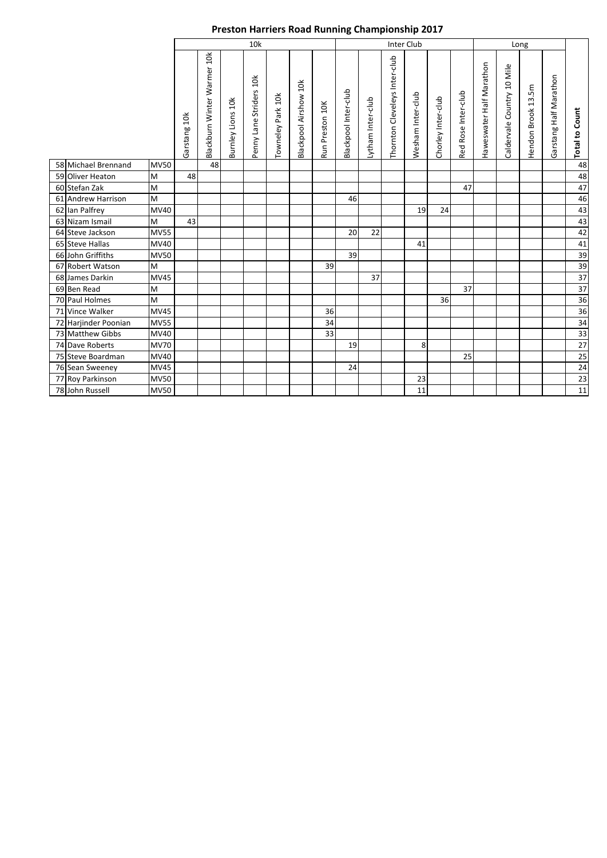|                      |             |              | 10k                         |                          |                         |                   |                       |                 |                      |                   |                               | Inter Club        |                    |                     |                          |                            |                    |                        |                       |
|----------------------|-------------|--------------|-----------------------------|--------------------------|-------------------------|-------------------|-----------------------|-----------------|----------------------|-------------------|-------------------------------|-------------------|--------------------|---------------------|--------------------------|----------------------------|--------------------|------------------------|-----------------------|
|                      |             | Garstang 10k | Blackburn Winter Warmer 10k | <b>Burnley Lions 10k</b> | Penny Lane Striders 10k | Towneley Park 10k | Blackpool Airshow 10k | Run Preston 10K | Blackpool Inter-club | Lytham Inter-club | Thornton Cleveleys Inter-club | Wesham Inter-club | Chorley Inter-club | Red Rose Inter-club | Haweswater Half Marathon | Caldervale Country 10 Mile | Hendon Brook 13.5m | Garstang Half Marathon | <b>Total to Count</b> |
| 58 Michael Brennand  | <b>MV50</b> |              | 48                          |                          |                         |                   |                       |                 |                      |                   |                               |                   |                    |                     |                          |                            |                    |                        | 48                    |
| 59 Oliver Heaton     | M           | 48           |                             |                          |                         |                   |                       |                 |                      |                   |                               |                   |                    |                     |                          |                            |                    |                        | 48                    |
| 60 Stefan Zak        | M           |              |                             |                          |                         |                   |                       |                 |                      |                   |                               |                   |                    | 47                  |                          |                            |                    |                        | 47                    |
| 61 Andrew Harrison   | M           |              |                             |                          |                         |                   |                       |                 | 46                   |                   |                               |                   |                    |                     |                          |                            |                    |                        | 46                    |
| 62 Ian Palfrey       | MV40        |              |                             |                          |                         |                   |                       |                 |                      |                   |                               | 19                | 24                 |                     |                          |                            |                    |                        | 43                    |
| 63 Nizam Ismail      | M           | 43           |                             |                          |                         |                   |                       |                 |                      |                   |                               |                   |                    |                     |                          |                            |                    |                        | 43                    |
| 64 Steve Jackson     | <b>MV55</b> |              |                             |                          |                         |                   |                       |                 | 20                   | 22                |                               |                   |                    |                     |                          |                            |                    |                        | 42                    |
| 65 Steve Hallas      | MV40        |              |                             |                          |                         |                   |                       |                 |                      |                   |                               | 41                |                    |                     |                          |                            |                    |                        | 41                    |
| 66 John Griffiths    | <b>MV50</b> |              |                             |                          |                         |                   |                       |                 | 39                   |                   |                               |                   |                    |                     |                          |                            |                    |                        | 39                    |
| 67 Robert Watson     | M           |              |                             |                          |                         |                   |                       | 39              |                      |                   |                               |                   |                    |                     |                          |                            |                    |                        | 39                    |
| 68 James Darkin      | <b>MV45</b> |              |                             |                          |                         |                   |                       |                 |                      | 37                |                               |                   |                    |                     |                          |                            |                    |                        | $\overline{37}$       |
| 69 Ben Read          | M           |              |                             |                          |                         |                   |                       |                 |                      |                   |                               |                   |                    | 37                  |                          |                            |                    |                        | $\overline{37}$       |
| 70 Paul Holmes       | M           |              |                             |                          |                         |                   |                       |                 |                      |                   |                               |                   | 36                 |                     |                          |                            |                    |                        | 36                    |
| 71 Vince Walker      | <b>MV45</b> |              |                             |                          |                         |                   |                       | 36              |                      |                   |                               |                   |                    |                     |                          |                            |                    |                        | 36                    |
| 72 Harjinder Poonian | <b>MV55</b> |              |                             |                          |                         |                   |                       | 34              |                      |                   |                               |                   |                    |                     |                          |                            |                    |                        | 34                    |
| 73 Matthew Gibbs     | MV40        |              |                             |                          |                         |                   |                       | 33              |                      |                   |                               |                   |                    |                     |                          |                            |                    |                        | 33                    |
| 74 Dave Roberts      | <b>MV70</b> |              |                             |                          |                         |                   |                       |                 | 19                   |                   |                               | 8                 |                    |                     |                          |                            |                    |                        | 27                    |
| 75 Steve Boardman    | MV40        |              |                             |                          |                         |                   |                       |                 |                      |                   |                               |                   |                    | 25                  |                          |                            |                    |                        | $\overline{25}$       |
| 76 Sean Sweeney      | <b>MV45</b> |              |                             |                          |                         |                   |                       |                 | 24                   |                   |                               |                   |                    |                     |                          |                            |                    |                        | 24                    |
| 77 Roy Parkinson     | <b>MV50</b> |              |                             |                          |                         |                   |                       |                 |                      |                   |                               | 23                |                    |                     |                          |                            |                    |                        | 23                    |
| 78 John Russell      | <b>MV50</b> |              |                             |                          |                         |                   |                       |                 |                      |                   |                               | 11                |                    |                     |                          |                            |                    |                        | $11\,$                |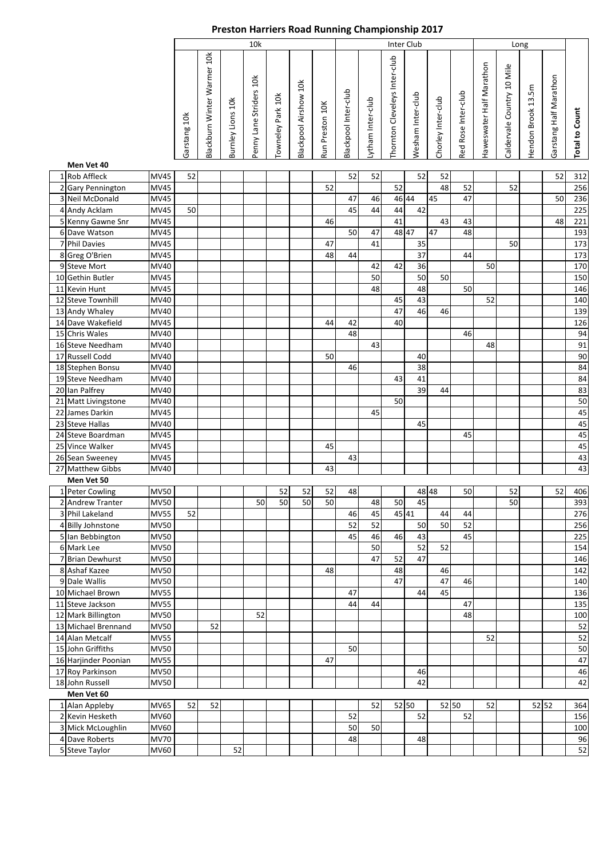|                      |             |              |                             |                   | 10k                     |                   |                       |                 |                      |                   | <b>Inter Club</b>             |                   |                    |                     |                          | Long                       |                    |                        |                       |
|----------------------|-------------|--------------|-----------------------------|-------------------|-------------------------|-------------------|-----------------------|-----------------|----------------------|-------------------|-------------------------------|-------------------|--------------------|---------------------|--------------------------|----------------------------|--------------------|------------------------|-----------------------|
| Men Vet 40           |             | Garstang 10k | Blackburn Winter Warmer 10k | Burnley Lions 10k | Penny Lane Striders 10k | Towneley Park 10k | Blackpool Airshow 10k | Run Preston 10K | Blackpool Inter-club | Lytham Inter-club | Thornton Cleveleys Inter-club | Wesham Inter-club | Chorley Inter-club | Red Rose Inter-club | Haweswater Half Marathon | Caldervale Country 10 Mile | Hendon Brook 13.5m | Garstang Half Marathon | <b>Total to Count</b> |
| 1 Rob Affleck        | <b>MV45</b> | 52           |                             |                   |                         |                   |                       |                 | 52                   | 52                |                               | 52                | 52                 |                     |                          |                            |                    | 52                     | 312                   |
| 2 Gary Pennington    | <b>MV45</b> |              |                             |                   |                         |                   |                       | 52              |                      |                   | 52                            |                   | 48                 | 52                  |                          | 52                         |                    |                        | 256                   |
| 3 Neil McDonald      | <b>MV45</b> |              |                             |                   |                         |                   |                       |                 | 47                   | 46                | 46 44                         |                   | 45                 | 47                  |                          |                            |                    | 50                     | 236                   |
| 4 Andy Acklam        | <b>MV45</b> | 50           |                             |                   |                         |                   |                       |                 | 45                   | 44                | 44                            | 42                |                    |                     |                          |                            |                    |                        | 225                   |
| 5 Kenny Gawne Snr    | MV45        |              |                             |                   |                         |                   |                       | 46              |                      |                   | 41                            |                   | 43                 | 43                  |                          |                            |                    | 48                     | 221                   |
| 6 Dave Watson        | MV45        |              |                             |                   |                         |                   |                       |                 | 50                   | 47                | 48 47                         |                   | 47                 | 48                  |                          |                            |                    |                        | 193                   |
| 7 Phil Davies        | MV45        |              |                             |                   |                         |                   |                       | 47              |                      | 41                |                               | 35                |                    |                     |                          | 50                         |                    |                        | 173                   |
| 8 Greg O'Brien       | <b>MV45</b> |              |                             |                   |                         |                   |                       | 48              | 44                   |                   |                               | 37                |                    | 44                  |                          |                            |                    |                        | 173                   |
| 9 Steve Mort         | MV40        |              |                             |                   |                         |                   |                       |                 |                      | 42                | 42                            | 36                |                    |                     | 50                       |                            |                    |                        | 170                   |
| 10 Gethin Butler     | <b>MV45</b> |              |                             |                   |                         |                   |                       |                 |                      | 50                |                               | 50                | 50                 |                     |                          |                            |                    |                        | 150                   |
| 11 Kevin Hunt        | MV45        |              |                             |                   |                         |                   |                       |                 |                      | 48                |                               | 48                |                    | 50                  |                          |                            |                    |                        | 146                   |
| 12 Steve Townhill    | MV40        |              |                             |                   |                         |                   |                       |                 |                      |                   | 45                            | 43                |                    |                     | 52                       |                            |                    |                        | 140                   |
| 13 Andy Whaley       | MV40        |              |                             |                   |                         |                   |                       |                 |                      |                   | 47                            | 46                | 46                 |                     |                          |                            |                    |                        | 139                   |
| 14 Dave Wakefield    | MV45        |              |                             |                   |                         |                   |                       | 44              | 42                   |                   | 40                            |                   |                    |                     |                          |                            |                    |                        | 126                   |
| 15 Chris Wales       | MV40        |              |                             |                   |                         |                   |                       |                 | 48                   |                   |                               |                   |                    | 46                  |                          |                            |                    |                        | 94                    |
| 16 Steve Needham     | <b>MV40</b> |              |                             |                   |                         |                   |                       |                 |                      | 43                |                               |                   |                    |                     | 48                       |                            |                    |                        | 91                    |
| 17 Russell Codd      | <b>MV40</b> |              |                             |                   |                         |                   |                       | 50              |                      |                   |                               | 40                |                    |                     |                          |                            |                    |                        | 90                    |
| 18 Stephen Bonsu     | MV40        |              |                             |                   |                         |                   |                       |                 | 46                   |                   |                               | 38                |                    |                     |                          |                            |                    |                        | 84                    |
| 19 Steve Needham     | MV40        |              |                             |                   |                         |                   |                       |                 |                      |                   | 43                            | 41                |                    |                     |                          |                            |                    |                        | 84                    |
| 20 Ian Palfrey       | MV40        |              |                             |                   |                         |                   |                       |                 |                      |                   |                               | 39                | 44                 |                     |                          |                            |                    |                        | 83                    |
| 21 Matt Livingstone  | MV40        |              |                             |                   |                         |                   |                       |                 |                      |                   | 50                            |                   |                    |                     |                          |                            |                    |                        | 50                    |
| 22 James Darkin      | <b>MV45</b> |              |                             |                   |                         |                   |                       |                 |                      | 45                |                               |                   |                    |                     |                          |                            |                    |                        | 45                    |
| 23 Steve Hallas      | <b>MV40</b> |              |                             |                   |                         |                   |                       |                 |                      |                   |                               | 45                |                    |                     |                          |                            |                    |                        | 45                    |
| 24 Steve Boardman    | MV45        |              |                             |                   |                         |                   |                       |                 |                      |                   |                               |                   |                    | 45                  |                          |                            |                    |                        | 45                    |
| 25 Vince Walker      | MV45        |              |                             |                   |                         |                   |                       | 45              |                      |                   |                               |                   |                    |                     |                          |                            |                    |                        | 45                    |
| 26 Sean Sweeney      | MV45        |              |                             |                   |                         |                   |                       |                 | 43                   |                   |                               |                   |                    |                     |                          |                            |                    |                        | 43                    |
| 27 Matthew Gibbs     | <b>MV40</b> |              |                             |                   |                         |                   |                       | 43              |                      |                   |                               |                   |                    |                     |                          |                            |                    |                        | 43                    |
| Men Vet 50           |             |              |                             |                   |                         |                   |                       |                 |                      |                   |                               |                   |                    |                     |                          |                            |                    |                        |                       |
| 1 Peter Cowling      | <b>MV50</b> |              |                             |                   |                         | 52                | 52                    | 52              | 48                   |                   |                               | 48 48             |                    | 50                  |                          | 52                         |                    | 52                     | 406                   |
| 2 Andrew Tranter     | <b>MV50</b> |              |                             |                   | 50                      | 50                | 50                    | 50              |                      | 48                | 50                            | 45                |                    |                     |                          | 50                         |                    |                        | 393                   |
| 3 Phil Lakeland      | <b>MV55</b> | 52           |                             |                   |                         |                   |                       |                 | 46                   | 45                | 45 41                         |                   | 44                 | 44                  |                          |                            |                    |                        | 276                   |
| 4 Billy Johnstone    | <b>MV50</b> |              |                             |                   |                         |                   |                       |                 | 52                   | 52                |                               | 50                | 50                 | 52                  |                          |                            |                    |                        | 256                   |
| 5 Ian Bebbington     | <b>MV50</b> |              |                             |                   |                         |                   |                       |                 | 45                   | 46                | 46                            | 43                |                    | 45                  |                          |                            |                    |                        | 225                   |
| 6 Mark Lee           | <b>MV50</b> |              |                             |                   |                         |                   |                       |                 |                      | 50                |                               | 52                | 52                 |                     |                          |                            |                    |                        | 154                   |
| 7 Brian Dewhurst     | <b>MV50</b> |              |                             |                   |                         |                   |                       |                 |                      | 47                | 52                            | 47                |                    |                     |                          |                            |                    |                        | 146                   |
| 8 Ashaf Kazee        | <b>MV50</b> |              |                             |                   |                         |                   |                       | 48              |                      |                   | 48                            |                   | 46                 |                     |                          |                            |                    |                        | 142                   |
| 9 Dale Wallis        | MV50        |              |                             |                   |                         |                   |                       |                 |                      |                   | 47                            |                   | 47                 | 46                  |                          |                            |                    |                        | 140                   |
| 10 Michael Brown     | <b>MV55</b> |              |                             |                   |                         |                   |                       |                 | 47                   |                   |                               | 44                | 45                 |                     |                          |                            |                    |                        | 136                   |
| 11 Steve Jackson     | <b>MV55</b> |              |                             |                   |                         |                   |                       |                 | 44                   | 44                |                               |                   |                    | 47                  |                          |                            |                    |                        | 135                   |
| 12 Mark Billington   | <b>MV50</b> |              |                             |                   | 52                      |                   |                       |                 |                      |                   |                               |                   |                    | 48                  |                          |                            |                    |                        | 100                   |
| 13 Michael Brennand  | <b>MV50</b> |              | 52                          |                   |                         |                   |                       |                 |                      |                   |                               |                   |                    |                     |                          |                            |                    |                        | 52                    |
| 14 Alan Metcalf      | <b>MV55</b> |              |                             |                   |                         |                   |                       |                 |                      |                   |                               |                   |                    |                     | 52                       |                            |                    |                        | 52                    |
| 15 John Griffiths    | <b>MV50</b> |              |                             |                   |                         |                   |                       |                 | 50                   |                   |                               |                   |                    |                     |                          |                            |                    |                        | 50                    |
| 16 Harjinder Poonian | <b>MV55</b> |              |                             |                   |                         |                   |                       | 47              |                      |                   |                               |                   |                    |                     |                          |                            |                    |                        | 47                    |
| 17 Roy Parkinson     | <b>MV50</b> |              |                             |                   |                         |                   |                       |                 |                      |                   |                               | 46                |                    |                     |                          |                            |                    |                        | 46                    |
| 18 John Russell      | <b>MV50</b> |              |                             |                   |                         |                   |                       |                 |                      |                   |                               | 42                |                    |                     |                          |                            |                    |                        | 42                    |
| Men Vet 60           |             |              |                             |                   |                         |                   |                       |                 |                      |                   |                               |                   |                    |                     |                          |                            |                    |                        |                       |
| 1 Alan Appleby       | MV65        | 52           | 52                          |                   |                         |                   |                       |                 |                      | 52                | 52 50                         |                   | 52 50              |                     | 52                       |                            | 52 52              |                        | 364                   |
| 2 Kevin Hesketh      | MV60        |              |                             |                   |                         |                   |                       |                 | 52                   |                   |                               | 52                |                    | 52                  |                          |                            |                    |                        | 156                   |
| 3 Mick McLoughlin    | MV60        |              |                             |                   |                         |                   |                       |                 | 50                   | 50                |                               |                   |                    |                     |                          |                            |                    |                        | 100                   |
| 4 Dave Roberts       | <b>MV70</b> |              |                             |                   |                         |                   |                       |                 | 48                   |                   |                               | 48                |                    |                     |                          |                            |                    |                        | 96                    |
| 5 Steve Taylor       | MV60        |              |                             | 52                |                         |                   |                       |                 |                      |                   |                               |                   |                    |                     |                          |                            |                    |                        | 52                    |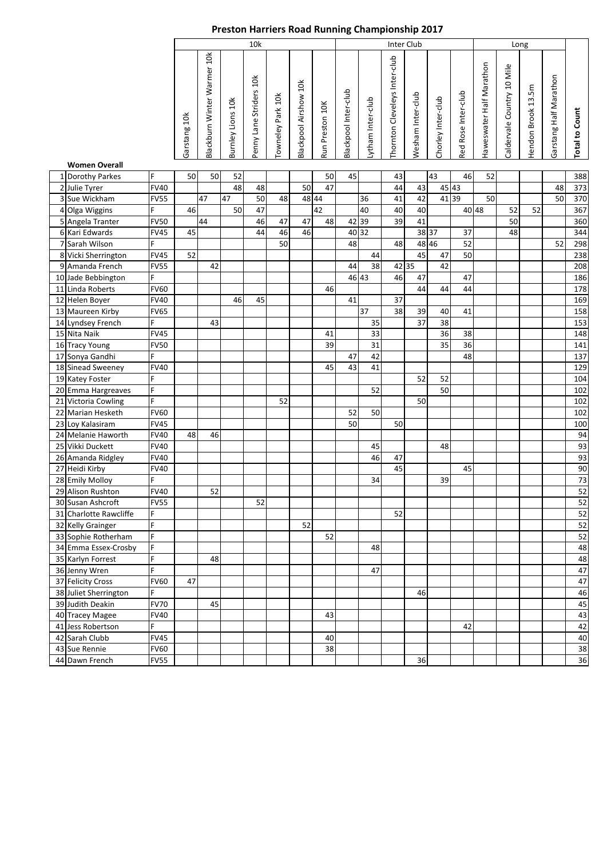|                        |                |              |                             |                   | 10k                     |                   |                       |                 |                      |                   |                               | <b>Inter Club</b> |                    |                     |                          |                            | Long               |                        |                       |
|------------------------|----------------|--------------|-----------------------------|-------------------|-------------------------|-------------------|-----------------------|-----------------|----------------------|-------------------|-------------------------------|-------------------|--------------------|---------------------|--------------------------|----------------------------|--------------------|------------------------|-----------------------|
|                        |                | Garstang 10k | Blackburn Winter Warmer 10k | Burnley Lions 10k | Penny Lane Striders 10k | Towneley Park 10k | Blackpool Airshow 10k | Run Preston 10K | Blackpool Inter-club | Lytham Inter-club | Thornton Cleveleys Inter-club | Wesham Inter-club | Chorley Inter-club | Red Rose Inter-club | Haweswater Half Marathon | Caldervale Country 10 Mile | Hendon Brook 13.5m | Garstang Half Marathon | <b>Total to Count</b> |
| <b>Women Overall</b>   |                |              |                             |                   |                         |                   |                       |                 |                      |                   |                               |                   |                    |                     |                          |                            |                    |                        |                       |
| 1 Dorothy Parkes       | F              | 50           | 50                          | 52                |                         |                   |                       | 50              | 45                   |                   | 43                            |                   | 43                 | 46                  | 52                       |                            |                    |                        | 388                   |
| 2 Julie Tyrer          | <b>FV40</b>    |              |                             | 48                | 48                      |                   | 50                    | 47              |                      |                   | 44                            | 43                | 45 43              |                     |                          |                            |                    | 48                     | 373                   |
| 3 Sue Wickham          | FV55           |              | 47                          | 47                | 50                      | 48                | 48 44                 |                 |                      | 36                | 41                            | 42                | 4139               |                     | 50                       |                            |                    | 50                     | 370                   |
| 4 Olga Wiggins         | F              | 46           |                             | 50                | 47                      |                   |                       | 42              |                      | 40                | 40                            | 40                |                    |                     | 40 48                    | 52                         | 52                 |                        | 367                   |
| 5 Angela Tranter       | <b>FV50</b>    |              | 44                          |                   | 46                      | 47                | 47                    | 48              | 42 39                |                   | 39                            | 41                |                    |                     |                          | 50                         |                    |                        | 360                   |
| 6 Kari Edwards         | <b>FV45</b>    | 45           |                             |                   | 44                      | 46                | 46                    |                 |                      | 40 32             |                               | 38 37             |                    | 37                  |                          | 48                         |                    |                        | 344                   |
| 7 Sarah Wilson         |                |              |                             |                   |                         | 50                |                       |                 | 48                   |                   | 48                            | 48 46             |                    | 52                  |                          |                            |                    | 52                     | 298                   |
| 8 Vicki Sherrington    | <b>FV45</b>    | 52           |                             |                   |                         |                   |                       |                 |                      | 44                |                               | 45                | 47                 | 50                  |                          |                            |                    |                        | 238                   |
| 9 Amanda French        | <b>FV55</b>    |              | 42                          |                   |                         |                   |                       |                 | 44                   | 38                |                               | 42 35             | 42                 |                     |                          |                            |                    |                        | 208                   |
| 10 Jade Bebbington     | F              |              |                             |                   |                         |                   |                       |                 |                      | 46 43             | 46                            | 47                |                    | 47                  |                          |                            |                    |                        | 186                   |
| 11 Linda Roberts       | <b>FV60</b>    |              |                             |                   |                         |                   |                       | 46              |                      |                   |                               | 44                | 44                 | 44                  |                          |                            |                    |                        | 178                   |
| 12 Helen Boyer         | <b>FV40</b>    |              |                             | 46                | 45                      |                   |                       |                 | 41                   |                   | 37                            |                   |                    |                     |                          |                            |                    |                        | 169                   |
| 13 Maureen Kirby       | <b>FV65</b>    |              |                             |                   |                         |                   |                       |                 |                      | 37                | 38                            | 39                | 40                 | 41                  |                          |                            |                    |                        | 158                   |
| 14 Lyndsey French      | F              |              | 43                          |                   |                         |                   |                       |                 |                      | 35                |                               | 37                | 38                 |                     |                          |                            |                    |                        | 153                   |
| 15 Nita Naik           | <b>FV45</b>    |              |                             |                   |                         |                   |                       | 41              |                      | 33                |                               |                   | 36                 | 38                  |                          |                            |                    |                        | 148                   |
| 16 Tracy Young         | <b>FV50</b>    |              |                             |                   |                         |                   |                       | 39              |                      | 31                |                               |                   | 35                 | 36                  |                          |                            |                    |                        | 141                   |
| 17 Sonya Gandhi        | Ë              |              |                             |                   |                         |                   |                       |                 | 47                   | 42                |                               |                   |                    | 48                  |                          |                            |                    |                        | 137                   |
| 18 Sinead Sweeney      | <b>FV40</b>    |              |                             |                   |                         |                   |                       | 45              | 43                   | 41                |                               |                   |                    |                     |                          |                            |                    |                        | 129                   |
| 19 Katey Foster        | F              |              |                             |                   |                         |                   |                       |                 |                      |                   |                               | 52                | 52                 |                     |                          |                            |                    |                        | 104                   |
| 20 Emma Hargreaves     | $\overline{F}$ |              |                             |                   |                         |                   |                       |                 |                      | 52                |                               |                   | 50                 |                     |                          |                            |                    |                        | 102                   |
| 21 Victoria Cowling    | F              |              |                             |                   |                         | 52                |                       |                 |                      |                   |                               | 50                |                    |                     |                          |                            |                    |                        | 102                   |
| 22 Marian Hesketh      | <b>FV60</b>    |              |                             |                   |                         |                   |                       |                 | 52                   | 50                |                               |                   |                    |                     |                          |                            |                    |                        | 102                   |
| 23 Loy Kalasiram       | <b>FV45</b>    |              |                             |                   |                         |                   |                       |                 | 50                   |                   | 50                            |                   |                    |                     |                          |                            |                    |                        | 100                   |
| 24 Melanie Haworth     | <b>FV40</b>    | 48           | 46                          |                   |                         |                   |                       |                 |                      |                   |                               |                   |                    |                     |                          |                            |                    |                        | 94                    |
| 25 Vikki Duckett       | <b>FV40</b>    |              |                             |                   |                         |                   |                       |                 |                      | 45                |                               |                   | 48                 |                     |                          |                            |                    |                        | 93                    |
| 26 Amanda Ridgley      | <b>FV40</b>    |              |                             |                   |                         |                   |                       |                 |                      | 46                | 47                            |                   |                    |                     |                          |                            |                    |                        | 93                    |
| 27 Heidi Kirby         | <b>FV40</b>    |              |                             |                   |                         |                   |                       |                 |                      |                   | 45                            |                   |                    | 45                  |                          |                            |                    |                        | 90                    |
| 28 Emily Molloy        | F              |              |                             |                   |                         |                   |                       |                 |                      | 34                |                               |                   | 39                 |                     |                          |                            |                    |                        | 73                    |
| 29 Alison Rushton      | <b>FV40</b>    |              | 52                          |                   |                         |                   |                       |                 |                      |                   |                               |                   |                    |                     |                          |                            |                    |                        | $\overline{52}$       |
| 30 Susan Ashcroft      | <b>FV55</b>    |              |                             |                   | 52                      |                   |                       |                 |                      |                   |                               |                   |                    |                     |                          |                            |                    |                        | 52                    |
| 31 Charlotte Rawcliffe | F              |              |                             |                   |                         |                   |                       |                 |                      |                   | 52                            |                   |                    |                     |                          |                            |                    |                        | 52                    |
| 32 Kelly Grainger      | F              |              |                             |                   |                         |                   | 52                    |                 |                      |                   |                               |                   |                    |                     |                          |                            |                    |                        | 52                    |
| 33 Sophie Rotherham    | F              |              |                             |                   |                         |                   |                       | 52              |                      |                   |                               |                   |                    |                     |                          |                            |                    |                        | 52                    |
| 34 Emma Essex-Crosby   | F              |              |                             |                   |                         |                   |                       |                 |                      | 48                |                               |                   |                    |                     |                          |                            |                    |                        | 48                    |
| 35 Karlyn Forrest      | F              |              | 48                          |                   |                         |                   |                       |                 |                      |                   |                               |                   |                    |                     |                          |                            |                    |                        | 48                    |
| 36 Jenny Wren          | F              |              |                             |                   |                         |                   |                       |                 |                      | 47                |                               |                   |                    |                     |                          |                            |                    |                        | 47                    |
| 37 Felicity Cross      | <b>FV60</b>    | 47           |                             |                   |                         |                   |                       |                 |                      |                   |                               |                   |                    |                     |                          |                            |                    |                        | 47                    |
| 38 Juliet Sherrington  | F              |              |                             |                   |                         |                   |                       |                 |                      |                   |                               | 46                |                    |                     |                          |                            |                    |                        | 46                    |
| 39 Judith Deakin       | <b>FV70</b>    |              | 45                          |                   |                         |                   |                       |                 |                      |                   |                               |                   |                    |                     |                          |                            |                    |                        | 45                    |
| 40 Tracey Magee        | <b>FV40</b>    |              |                             |                   |                         |                   |                       | 43              |                      |                   |                               |                   |                    |                     |                          |                            |                    |                        | 43                    |
| 41 Jess Robertson      | F              |              |                             |                   |                         |                   |                       |                 |                      |                   |                               |                   |                    | 42                  |                          |                            |                    |                        | 42                    |
| 42 Sarah Clubb         | <b>FV45</b>    |              |                             |                   |                         |                   |                       | 40              |                      |                   |                               |                   |                    |                     |                          |                            |                    |                        | 40                    |
| 43 Sue Rennie          | <b>FV60</b>    |              |                             |                   |                         |                   |                       | 38              |                      |                   |                               |                   |                    |                     |                          |                            |                    |                        | 38                    |
| 44 Dawn French         | <b>FV55</b>    |              |                             |                   |                         |                   |                       |                 |                      |                   |                               | 36                |                    |                     |                          |                            |                    |                        | 36                    |
|                        |                |              |                             |                   |                         |                   |                       |                 |                      |                   |                               |                   |                    |                     |                          |                            |                    |                        |                       |